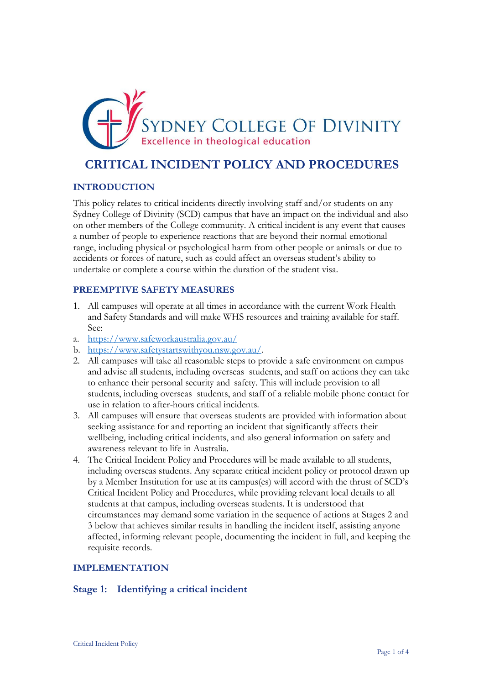

# **CRITICAL INCIDENT POLICY AND PROCEDURES**

#### **INTRODUCTION**

This policy relates to critical incidents directly involving staff and/or students on any Sydney College of Divinity (SCD) campus that have an impact on the individual and also on other members of the College community. A critical incident is any event that causes a number of people to experience reactions that are beyond their normal emotional range, including physical or psychological harm from other people or animals or due to accidents or forces of nature, such as could affect an overseas student's ability to undertake or complete a course within the duration of the student visa.

#### **PREEMPTIVE SAFETY MEASURES**

- 1. All campuses will operate at all times in accordance with the current Work Health and Safety Standards and will make WHS resources and training available for staff. See:
- a. <https://www.safeworkaustralia.gov.au/>
- b. [https://www.safetystartswithyou.nsw.gov.au/.](https://www.safetystartswithyou.nsw.gov.au/)
- 2. All campuses will take all reasonable steps to provide a safe environment on campus and advise all students, including overseas students, and staff on actions they can take to enhance their personal security and safety. This will include provision to all students, including overseas students, and staff of a reliable mobile phone contact for use in relation to after-hours critical incidents.
- 3. All campuses will ensure that overseas students are provided with information about seeking assistance for and reporting an incident that significantly affects their wellbeing, including critical incidents, and also general information on safety and awareness relevant to life in Australia.
- 4. The Critical Incident Policy and Procedures will be made available to all students, including overseas students. Any separate critical incident policy or protocol drawn up by a Member Institution for use at its campus(es) will accord with the thrust of SCD's Critical Incident Policy and Procedures, while providing relevant local details to all students at that campus, including overseas students. It is understood that circumstances may demand some variation in the sequence of actions at Stages 2 and 3 below that achieves similar results in handling the incident itself, assisting anyone affected, informing relevant people, documenting the incident in full, and keeping the requisite records.

## **IMPLEMENTATION**

## **Stage 1: Identifying a critical incident**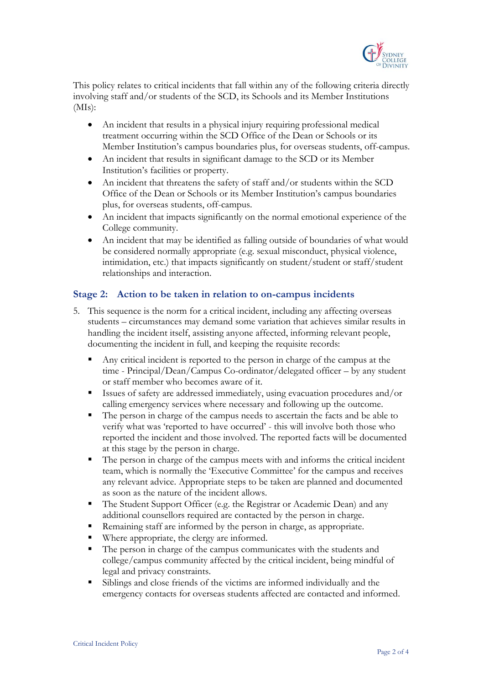

This policy relates to critical incidents that fall within any of the following criteria directly involving staff and/or students of the SCD, its Schools and its Member Institutions  $(MIs):$ 

- An incident that results in a physical injury requiring professional medical treatment occurring within the SCD Office of the Dean or Schools or its Member Institution's campus boundaries plus, for overseas students, off-campus.
- An incident that results in significant damage to the SCD or its Member Institution's facilities or property.
- An incident that threatens the safety of staff and/or students within the SCD Office of the Dean or Schools or its Member Institution's campus boundaries plus, for overseas students, off-campus.
- An incident that impacts significantly on the normal emotional experience of the College community.
- An incident that may be identified as falling outside of boundaries of what would be considered normally appropriate (e.g. sexual misconduct, physical violence, intimidation, etc.) that impacts significantly on student/student or staff/student relationships and interaction.

# **Stage 2: Action to be taken in relation to on-campus incidents**

- 5. This sequence is the norm for a critical incident, including any affecting overseas students – circumstances may demand some variation that achieves similar results in handling the incident itself, assisting anyone affected, informing relevant people, documenting the incident in full, and keeping the requisite records:
	- Any critical incident is reported to the person in charge of the campus at the time - Principal/Dean/Campus Co-ordinator/delegated officer – by any student or staff member who becomes aware of it.
	- Issues of safety are addressed immediately, using evacuation procedures and/or calling emergency services where necessary and following up the outcome.
	- The person in charge of the campus needs to ascertain the facts and be able to verify what was 'reported to have occurred' - this will involve both those who reported the incident and those involved. The reported facts will be documented at this stage by the person in charge.
	- The person in charge of the campus meets with and informs the critical incident team, which is normally the 'Executive Committee' for the campus and receives any relevant advice. Appropriate steps to be taken are planned and documented as soon as the nature of the incident allows.
	- The Student Support Officer (e.g. the Registrar or Academic Dean) and any additional counsellors required are contacted by the person in charge.
	- Remaining staff are informed by the person in charge, as appropriate.
	- Where appropriate, the clergy are informed.
	- The person in charge of the campus communicates with the students and college/campus community affected by the critical incident, being mindful of legal and privacy constraints.
	- Siblings and close friends of the victims are informed individually and the emergency contacts for overseas students affected are contacted and informed.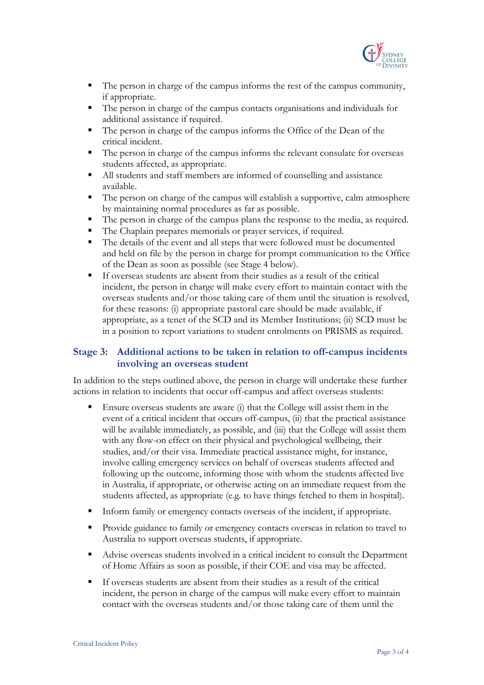

- The person in charge of the campus informs the rest of the campus community, if appropriate.
- The person in charge of the campus contacts organisations and individuals for additional assistance if required.
- The person in charge of the campus informs the Office of the Dean of the critical incident.
- The person in charge of the campus informs the relevant consulate for overseas students affected, as appropriate.
- All students and staff members are informed of counselling and assistance available.
- The person on charge of the campus will establish a supportive, calm atmosphere by maintaining normal procedures as far as possible.
- The person in charge of the campus plans the response to the media, as required.
- The Chaplain prepares memorials or prayer services, if required.
- The details of the event and all steps that were followed must be documented and held on file by the person in charge for prompt communication to the Office of the Dean as soon as possible (see Stage 4 below).
- If overseas students are absent from their studies as a result of the critical incident, the person in charge will make every effort to maintain contact with the overseas students and/or those taking care of them until the situation is resolved, for these reasons: (i) appropriate pastoral care should be made available, if appropriate, as a tenet of the SCD and its Member Institutions; (ii) SCD must be in a position to report variations to student enrolments on PRISMS as required.

# **Stage 3: Additional actions to be taken in relation to off-campus incidents involving an overseas student**

In addition to the steps outlined above, the person in charge will undertake these further actions in relation to incidents that occur off-campus and affect overseas students:

- Ensure overseas students are aware (i) that the College will assist them in the event of a critical incident that occurs off-campus, (ii) that the practical assistance will be available immediately, as possible, and (iii) that the College will assist them with any flow-on effect on their physical and psychological wellbeing, their studies, and/or their visa. Immediate practical assistance might, for instance, involve calling emergency services on behalf of overseas students affected and following up the outcome, informing those with whom the students affected live in Australia, if appropriate, or otherwise acting on an immediate request from the students affected, as appropriate (e.g. to have things fetched to them in hospital).
- Inform family or emergency contacts overseas of the incident, if appropriate.
- Provide guidance to family or emergency contacts overseas in relation to travel to Australia to support overseas students, if appropriate.
- Advise overseas students involved in a critical incident to consult the Department of Home Affairs as soon as possible, if their COE and visa may be affected.
- If overseas students are absent from their studies as a result of the critical incident, the person in charge of the campus will make every effort to maintain contact with the overseas students and/or those taking care of them until the